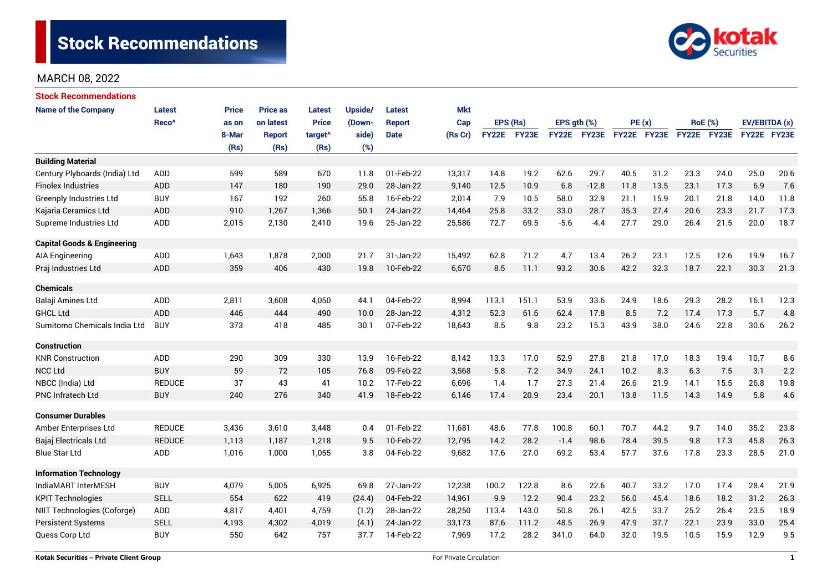

| <b>Stock Recommendations</b>           |                   |              |                 |                     |         |               |            |          |       |                  |         |             |      |                |      |               |      |
|----------------------------------------|-------------------|--------------|-----------------|---------------------|---------|---------------|------------|----------|-------|------------------|---------|-------------|------|----------------|------|---------------|------|
| <b>Name of the Company</b>             | <b>Latest</b>     | <b>Price</b> | <b>Price as</b> | <b>Latest</b>       | Upside/ | Latest        | <b>Mkt</b> |          |       |                  |         |             |      |                |      |               |      |
|                                        | Reco <sup>^</sup> | as on        | on latest       | <b>Price</b>        | (Down-  | <b>Report</b> | Cap        | EPS (Rs) |       | EPS $gth$ $(\%)$ |         | PE(x)       |      | <b>RoE</b> (%) |      | EV/EBITDA (x) |      |
|                                        |                   | 8-Mar        | <b>Report</b>   | target <sup>^</sup> | side)   | <b>Date</b>   | (Rs Cr)    | FY22E    | FY23E | FY22E FY23E      |         | FY22E FY23E |      | FY22E FY23E    |      | FY22E FY23E   |      |
|                                        |                   | (Rs)         | (Rs)            | (Rs)                | (%)     |               |            |          |       |                  |         |             |      |                |      |               |      |
| <b>Building Material</b>               |                   |              |                 |                     |         |               |            |          |       |                  |         |             |      |                |      |               |      |
| Century Plyboards (India) Ltd          | ADD               | 599          | 589             | 670                 | 11.8    | 01-Feb-22     | 13,317     | 14.8     | 19.2  | 62.6             | 29.7    | 40.5        | 31.2 | 23.3           | 24.0 | 25.0          | 20.6 |
| <b>Finolex Industries</b>              | <b>ADD</b>        | 147          | 180             | 190                 | 29.0    | 28-Jan-22     | 9,140      | 12.5     | 10.9  | 6.8              | $-12.8$ | 11.8        | 13.5 | 23.1           | 17.3 | 6.9           | 7.6  |
| Greenply Industries Ltd                | <b>BUY</b>        | 167          | 192             | 260                 | 55.8    | 16-Feb-22     | 2,014      | 7.9      | 10.5  | 58.0             | 32.9    | 21.1        | 15.9 | 20.1           | 21.8 | 14.0          | 11.8 |
| Kajaria Ceramics Ltd                   | <b>ADD</b>        | 910          | 1,267           | 1,366               | 50.1    | 24-Jan-22     | 14,464     | 25.8     | 33.2  | 33.0             | 28.7    | 35.3        | 27.4 | 20.6           | 23.3 | 21.7          | 17.3 |
| Supreme Industries Ltd                 | ADD               | 2,015        | 2,130           | 2,410               | 19.6    | 25-Jan-22     | 25,586     | 72.7     | 69.5  | $-5.6$           | $-4.4$  | 27.7        | 29.0 | 26.4           | 21.5 | 20.0          | 18.7 |
| <b>Capital Goods &amp; Engineering</b> |                   |              |                 |                     |         |               |            |          |       |                  |         |             |      |                |      |               |      |
| AIA Engineering                        | ADD               | 1,643        | 1,878           | 2,000               | 21.7    | 31-Jan-22     | 15,492     | 62.8     | 71.2  | 4.7              | 13.4    | 26.2        | 23.1 | 12.5           | 12.6 | 19.9          | 16.7 |
| Praj Industries Ltd                    | <b>ADD</b>        | 359          | 406             | 430                 | 19.8    | 10-Feb-22     | 6,570      | 8.5      | 11.1  | 93.2             | 30.6    | 42.2        | 32.3 | 18.7           | 22.1 | 30.3          | 21.3 |
| <b>Chemicals</b>                       |                   |              |                 |                     |         |               |            |          |       |                  |         |             |      |                |      |               |      |
| Balaji Amines Ltd                      | <b>ADD</b>        | 2,811        | 3,608           | 4,050               | 44.1    | 04-Feb-22     | 8,994      | 113.1    | 151.1 | 53.9             | 33.6    | 24.9        | 18.6 | 29.3           | 28.2 | 16.1          | 12.3 |
| <b>GHCL Ltd</b>                        | ADD               | 446          | 444             | 490                 | 10.0    | 28-Jan-22     | 4,312      | 52.3     | 61.6  | 62.4             | 17.8    | 8.5         | 7.2  | 17.4           | 17.3 | 5.7           | 4.8  |
| Sumitomo Chemicals India Ltd           | <b>BUY</b>        | 373          | 418             | 485                 | 30.1    | 07-Feb-22     | 18,643     | 8.5      | 9.8   | 23.2             | 15.3    | 43.9        | 38.0 | 24.6           | 22.8 | 30.6          | 26.2 |
| <b>Construction</b>                    |                   |              |                 |                     |         |               |            |          |       |                  |         |             |      |                |      |               |      |
| <b>KNR Construction</b>                | ADD               | 290          | 309             | 330                 | 13.9    | 16-Feb-22     | 8,142      | 13.3     | 17.0  | 52.9             | 27.8    | 21.8        | 17.0 | 18.3           | 19.4 | 10.7          | 8.6  |
| <b>NCC Ltd</b>                         | <b>BUY</b>        | 59           | 72              | 105                 | 76.8    | 09-Feb-22     | 3,568      | 5.8      | 7.2   | 34.9             | 24.1    | 10.2        | 8.3  | 6.3            | 7.5  | 3.1           | 2.2  |
| NBCC (India) Ltd                       | <b>REDUCE</b>     | 37           | 43              | 41                  | 10.2    | 17-Feb-22     | 6,696      | 1.4      | 1.7   | 27.3             | 21.4    | 26.6        | 21.9 | 14.1           | 15.5 | 26.8          | 19.8 |
| <b>PNC Infratech Ltd</b>               | <b>BUY</b>        | 240          | 276             | 340                 | 41.9    | 18-Feb-22     | 6,146      | 17.4     | 20.9  | 23.4             | 20.1    | 13.8        | 11.5 | 14.3           | 14.9 | 5.8           | 4.6  |
| <b>Consumer Durables</b>               |                   |              |                 |                     |         |               |            |          |       |                  |         |             |      |                |      |               |      |
| Amber Enterprises Ltd                  | <b>REDUCE</b>     | 3,436        | 3,610           | 3,448               | 0.4     | 01-Feb-22     | 11,681     | 48.6     | 77.8  | 100.8            | 60.1    | 70.7        | 44.2 | 9.7            | 14.0 | 35.2          | 23.8 |
| Bajaj Electricals Ltd                  | <b>REDUCE</b>     | 1,113        | 1,187           | 1,218               | 9.5     | 10-Feb-22     | 12,795     | 14.2     | 28.2  | $-1.4$           | 98.6    | 78.4        | 39.5 | 9.8            | 17.3 | 45.8          | 26.3 |
| Blue Star Ltd                          | <b>ADD</b>        | 1,016        | 1,000           | 1,055               | 3.8     | 04-Feb-22     | 9,682      | 17.6     | 27.0  | 69.2             | 53.4    | 57.7        | 37.6 | 17.8           | 23.3 | 28.5          | 21.0 |
| <b>Information Technology</b>          |                   |              |                 |                     |         |               |            |          |       |                  |         |             |      |                |      |               |      |
| IndiaMART InterMESH                    | <b>BUY</b>        | 4,079        | 5,005           | 6,925               | 69.8    | 27-Jan-22     | 12,238     | 100.2    | 122.8 | 8.6              | 22.6    | 40.7        | 33.2 | 17.0           | 17.4 | 28.4          | 21.9 |
| <b>KPIT Technologies</b>               | <b>SELL</b>       | 554          | 622             | 419                 | (24.4)  | 04-Feb-22     | 14,961     | 9.9      | 12.2  | 90.4             | 23.2    | 56.0        | 45.4 | 18.6           | 18.2 | 31.2          | 26.3 |
| NIIT Technologies (Coforge)            | ADD               | 4,817        | 4,401           | 4,759               | (1.2)   | 28-Jan-22     | 28,250     | 113.4    | 143.0 | 50.8             | 26.1    | 42.5        | 33.7 | 25.2           | 26.4 | 23.5          | 18.9 |
| <b>Persistent Systems</b>              | <b>SELL</b>       | 4,193        | 4,302           | 4,019               | (4.1)   | 24-Jan-22     | 33,173     | 87.6     | 111.2 | 48.5             | 26.9    | 47.9        | 37.7 | 22.1           | 23.9 | 33.0          | 25.4 |
| Quess Corp Ltd                         | <b>BUY</b>        | 550          | 642             | 757                 | 37.7    | 14-Feb-22     | 7,969      | 17.2     | 28.2  | 341.0            | 64.0    | 32.0        | 19.5 | 10.5           | 15.9 | 12.9          | 9.5  |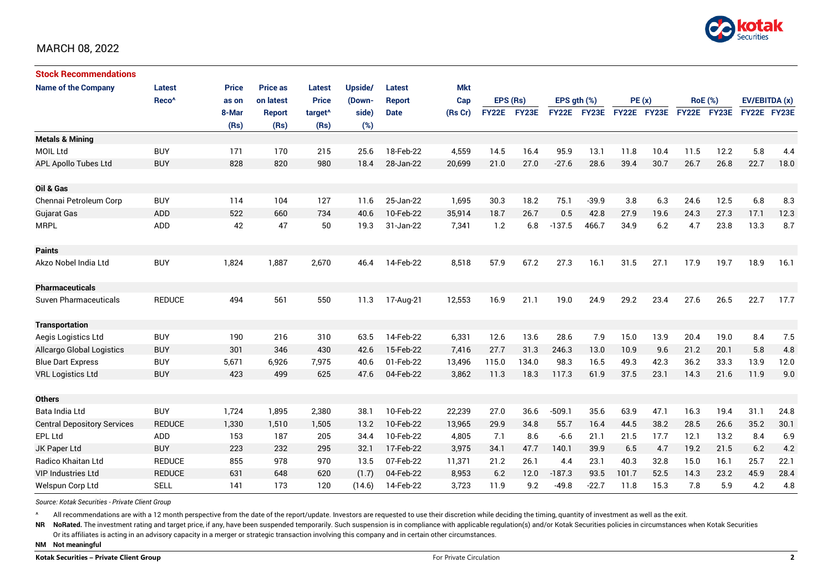

| <b>Stock Recommendations</b>       |                   |              |                 |                     |         |               |            |              |       |                  |              |             |      |                |      |               |      |
|------------------------------------|-------------------|--------------|-----------------|---------------------|---------|---------------|------------|--------------|-------|------------------|--------------|-------------|------|----------------|------|---------------|------|
| <b>Name of the Company</b>         | Latest            | <b>Price</b> | <b>Price as</b> | <b>Latest</b>       | Upside/ | <b>Latest</b> | <b>Mkt</b> |              |       |                  |              |             |      |                |      |               |      |
|                                    | Reco <sup>^</sup> | as on        | on latest       | <b>Price</b>        | (Down-  | <b>Report</b> | Cap        | EPS (Rs)     |       | EPS $qth$ $(\%)$ |              | PE(x)       |      | <b>RoE</b> (%) |      | EV/EBITDA (x) |      |
|                                    |                   | 8-Mar        | Report          | target <sup>^</sup> | side)   | <b>Date</b>   | (Rs Cr)    | <b>FY22E</b> | FY23E | <b>FY22E</b>     | <b>FY23E</b> | FY22E FY23E |      | FY22E FY23E    |      | FY22E FY23E   |      |
|                                    |                   | (Rs)         | (Rs)            | (Rs)                | (%)     |               |            |              |       |                  |              |             |      |                |      |               |      |
| <b>Metals &amp; Mining</b>         |                   |              |                 |                     |         |               |            |              |       |                  |              |             |      |                |      |               |      |
| <b>MOIL Ltd</b>                    | <b>BUY</b>        | 171          | 170             | 215                 | 25.6    | 18-Feb-22     | 4,559      | 14.5         | 16.4  | 95.9             | 13.1         | 11.8        | 10.4 | 11.5           | 12.2 | 5.8           | 4.4  |
| <b>APL Apollo Tubes Ltd</b>        | <b>BUY</b>        | 828          | 820             | 980                 | 18.4    | 28-Jan-22     | 20,699     | 21.0         | 27.0  | $-27.6$          | 28.6         | 39.4        | 30.7 | 26.7           | 26.8 | 22.7          | 18.0 |
|                                    |                   |              |                 |                     |         |               |            |              |       |                  |              |             |      |                |      |               |      |
| Oil & Gas                          |                   |              |                 |                     |         |               |            |              |       |                  |              |             |      |                |      |               |      |
| Chennai Petroleum Corp             | <b>BUY</b>        | 114          | 104             | 127                 | 11.6    | 25-Jan-22     | 1,695      | 30.3         | 18.2  | 75.1             | $-39.9$      | 3.8         | 6.3  | 24.6           | 12.5 | 6.8           | 8.3  |
| <b>Gujarat Gas</b>                 | <b>ADD</b>        | 522          | 660             | 734                 | 40.6    | 10-Feb-22     | 35,914     | 18.7         | 26.7  | 0.5              | 42.8         | 27.9        | 19.6 | 24.3           | 27.3 | 17.1          | 12.3 |
| <b>MRPL</b>                        | ADD               | 42           | 47              | 50                  | 19.3    | 31-Jan-22     | 7,341      | 1.2          | 6.8   | $-137.5$         | 466.7        | 34.9        | 6.2  | 4.7            | 23.8 | 13.3          | 8.7  |
|                                    |                   |              |                 |                     |         |               |            |              |       |                  |              |             |      |                |      |               |      |
| <b>Paints</b>                      |                   |              |                 |                     |         |               |            |              |       |                  |              |             |      |                |      |               |      |
| Akzo Nobel India Ltd               | <b>BUY</b>        | 1,824        | 1,887           | 2,670               | 46.4    | 14-Feb-22     | 8,518      | 57.9         | 67.2  | 27.3             | 16.1         | 31.5        | 27.1 | 17.9           | 19.7 | 18.9          | 16.1 |
|                                    |                   |              |                 |                     |         |               |            |              |       |                  |              |             |      |                |      |               |      |
| <b>Pharmaceuticals</b>             |                   |              |                 |                     |         |               |            |              |       |                  |              |             |      |                |      |               |      |
| <b>Suven Pharmaceuticals</b>       | <b>REDUCE</b>     | 494          | 561             | 550                 | 11.3    | 17-Aug-21     | 12,553     | 16.9         | 21.1  | 19.0             | 24.9         | 29.2        | 23.4 | 27.6           | 26.5 | 22.7          | 17.7 |
|                                    |                   |              |                 |                     |         |               |            |              |       |                  |              |             |      |                |      |               |      |
| <b>Transportation</b>              |                   |              |                 |                     |         |               |            |              |       |                  |              |             |      |                |      |               |      |
| Aegis Logistics Ltd                | <b>BUY</b>        | 190          | 216             | 310                 | 63.5    | 14-Feb-22     | 6,331      | 12.6         | 13.6  | 28.6             | 7.9          | 15.0        | 13.9 | 20.4           | 19.0 | 8.4           | 7.5  |
| Allcargo Global Logistics          | <b>BUY</b>        | 301          | 346             | 430                 | 42.6    | 15-Feb-22     | 7,416      | 27.7         | 31.3  | 246.3            | 13.0         | 10.9        | 9.6  | 21.2           | 20.1 | 5.8           | 4.8  |
| <b>Blue Dart Express</b>           | <b>BUY</b>        | 5,671        | 6,926           | 7,975               | 40.6    | 01-Feb-22     | 13,496     | 115.0        | 134.0 | 98.3             | 16.5         | 49.3        | 42.3 | 36.2           | 33.3 | 13.9          | 12.0 |
| <b>VRL Logistics Ltd</b>           | <b>BUY</b>        | 423          | 499             | 625                 | 47.6    | 04-Feb-22     | 3,862      | 11.3         | 18.3  | 117.3            | 61.9         | 37.5        | 23.1 | 14.3           | 21.6 | 11.9          | 9.0  |
|                                    |                   |              |                 |                     |         |               |            |              |       |                  |              |             |      |                |      |               |      |
| <b>Others</b>                      |                   |              |                 |                     |         |               |            |              |       |                  |              |             |      |                |      |               |      |
| Bata India Ltd                     | <b>BUY</b>        | 1,724        | 1,895           | 2,380               | 38.1    | 10-Feb-22     | 22,239     | 27.0         | 36.6  | $-509.1$         | 35.6         | 63.9        | 47.1 | 16.3           | 19.4 | 31.1          | 24.8 |
| <b>Central Depository Services</b> | <b>REDUCE</b>     | 1,330        | 1,510           | 1,505               | 13.2    | 10-Feb-22     | 13,965     | 29.9         | 34.8  | 55.7             | 16.4         | 44.5        | 38.2 | 28.5           | 26.6 | 35.2          | 30.1 |
| <b>EPL Ltd</b>                     | <b>ADD</b>        | 153          | 187             | 205                 | 34.4    | 10-Feb-22     | 4,805      | 7.1          | 8.6   | $-6.6$           | 21.1         | 21.5        | 17.7 | 12.1           | 13.2 | 8.4           | 6.9  |
| JK Paper Ltd                       | <b>BUY</b>        | 223          | 232             | 295                 | 32.1    | 17-Feb-22     | 3,975      | 34.1         | 47.7  | 140.1            | 39.9         | 6.5         | 4.7  | 19.2           | 21.5 | 6.2           | 4.2  |
| Radico Khaitan Ltd                 | <b>REDUCE</b>     | 855          | 978             | 970                 | 13.5    | 07-Feb-22     | 11,371     | 21.2         | 26.1  | 4.4              | 23.1         | 40.3        | 32.8 | 15.0           | 16.1 | 25.7          | 22.1 |
| <b>VIP Industries Ltd</b>          | <b>REDUCE</b>     | 631          | 648             | 620                 | (1.7)   | 04-Feb-22     | 8,953      | 6.2          | 12.0  | $-187.3$         | 93.5         | 101.7       | 52.5 | 14.3           | 23.2 | 45.9          | 28.4 |
| Welspun Corp Ltd                   | <b>SELL</b>       | 141          | 173             | 120                 | (14.6)  | 14-Feb-22     | 3,723      | 11.9         | 9.2   | $-49.8$          | $-22.7$      | 11.8        | 15.3 | 7.8            | 5.9  | 4.2           | 4.8  |

*Source: Kotak Securities - Private Client Group*

All recommendations are with a 12 month perspective from the date of the report/update. Investors are requested to use their discretion while deciding the timing, quantity of investment as well as the exit.

NR NoRated. The investment rating and target price, if any, have been suspended temporarily. Such suspension is in compliance with applicable regulation(s) and/or Kotak Securities policies in circumstances when Kotak Secur

Or its affiliates is acting in an advisory capacity in a merger or strategic transaction involving this company and in certain other circumstances.

**NM Not meaningful**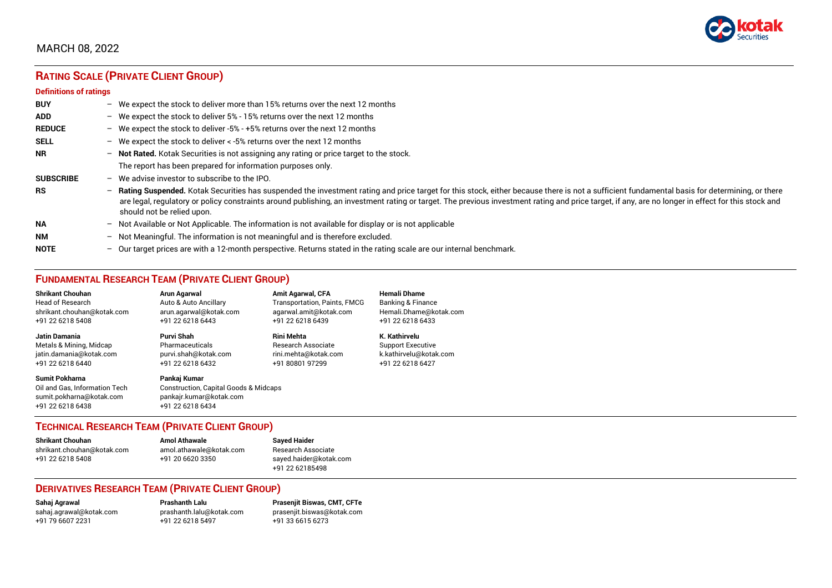

# **RATING SCALE (PRIVATE CLIENT GROUP)**

#### **Definitions of ratings**

| <b>BUY</b>       |   | - We expect the stock to deliver more than 15% returns over the next 12 months                                                                                                                                                                                                                                                                                                                                                     |
|------------------|---|------------------------------------------------------------------------------------------------------------------------------------------------------------------------------------------------------------------------------------------------------------------------------------------------------------------------------------------------------------------------------------------------------------------------------------|
| <b>ADD</b>       |   | - We expect the stock to deliver 5% - 15% returns over the next 12 months                                                                                                                                                                                                                                                                                                                                                          |
| <b>REDUCE</b>    |   | - We expect the stock to deliver -5% - +5% returns over the next 12 months                                                                                                                                                                                                                                                                                                                                                         |
| <b>SELL</b>      |   | - We expect the stock to deliver $\lt$ -5% returns over the next 12 months                                                                                                                                                                                                                                                                                                                                                         |
| <b>NR</b>        |   | - Not Rated. Kotak Securities is not assigning any rating or price target to the stock.                                                                                                                                                                                                                                                                                                                                            |
|                  |   | The report has been prepared for information purposes only.                                                                                                                                                                                                                                                                                                                                                                        |
| <b>SUBSCRIBE</b> |   | $-$ We advise investor to subscribe to the IPO.                                                                                                                                                                                                                                                                                                                                                                                    |
| <b>RS</b>        |   | - Rating Suspended. Kotak Securities has suspended the investment rating and price target for this stock, either because there is not a sufficient fundamental basis for determining, or there<br>are legal, regulatory or policy constraints around publishing, an investment rating or target. The previous investment rating and price target, if any, are no longer in effect for this stock and<br>should not be relied upon. |
| <b>NA</b>        |   | $-$ Not Available or Not Applicable. The information is not available for display or is not applicable                                                                                                                                                                                                                                                                                                                             |
| <b>NM</b>        |   | - Not Meaningful. The information is not meaningful and is therefore excluded.                                                                                                                                                                                                                                                                                                                                                     |
| <b>NOTE</b>      | - | Our target prices are with a 12-month perspective. Returns stated in the rating scale are our internal benchmark.                                                                                                                                                                                                                                                                                                                  |

## **FUNDAMENTAL RESEARCH TEAM (PRIVATE CLIENT GROUP)**

| <b>Shrikant Chouhan</b>                                                                                | <b>Arun Agarwal</b>                                                                                             | <b>Amit Agarwal, CFA</b>            | <b>Hemali Dhame</b>          |
|--------------------------------------------------------------------------------------------------------|-----------------------------------------------------------------------------------------------------------------|-------------------------------------|------------------------------|
| <b>Head of Research</b>                                                                                | Auto & Auto Ancillary                                                                                           | <b>Transportation, Paints, FMCG</b> | <b>Banking &amp; Finance</b> |
| shrikant.chouhan@kotak.com                                                                             | arun.agarwal@kotak.com                                                                                          | agarwal.amit@kotak.com              | Hemali.Dhame@kotak.com       |
| +91 22 6218 5408                                                                                       | +91 22 6218 6443                                                                                                | +91 22 6218 6439                    | +91 22 6218 6433             |
| Jatin Damania                                                                                          | Purvi Shah                                                                                                      | <b>Rini Mehta</b>                   | K. Kathirvelu                |
| Metals & Mining, Midcap                                                                                | Pharmaceuticals                                                                                                 | <b>Research Associate</b>           | <b>Support Executive</b>     |
| jatin.damania@kotak.com                                                                                | purvi.shah@kotak.com                                                                                            | rini.mehta@kotak.com                | k.kathirvelu@kotak.com       |
| +91 22 6218 6440                                                                                       | +91 22 6218 6432                                                                                                | +91 80801 97299                     | +91 22 6218 6427             |
| <b>Sumit Pokharna</b><br>Oil and Gas, Information Tech<br>sumit.pokharna@kotak.com<br>+91 22 6218 6438 | Pankaj Kumar<br><b>Construction, Capital Goods &amp; Midcaps</b><br>pankajr.kumar@kotak.com<br>+91 22 6218 6434 |                                     |                              |

## **TECHNICAL RESEARCH TEAM (PRIVATE CLIENT GROUP)**

| <b>Shrikant Chouhan</b>    | <b>Amol Athawale</b>    |  |
|----------------------------|-------------------------|--|
| shrikant.chouhan@kotak.com | amol.athawale@kotak.com |  |
| +91 22 6218 5408           | +91 20 6620 3350        |  |
|                            |                         |  |

#### **Sayed Haider** Research Associate [sayed.haider@kotak.com](mailto:sayed.haider@kotak.com) +91 22 62185498

#### **DERIVATIVES RESEARCH TEAM (PRIVATE CLIENT GROUP)**

+91 22 6218 5497 +91 33 6615 6273

**Sahaj Agrawal Prashanth Lalu Prasenjit Biswas, CMT, CFTe** [sahaj.agrawal@kotak.com](mailto:sahaj.agrawal@kotak.com) [prashanth.lalu@kotak.com](mailto:prashanth.lalu@kotak.com) [prasenjit.biswas@kotak.com](mailto:prasenjit.biswas@kotak.com)